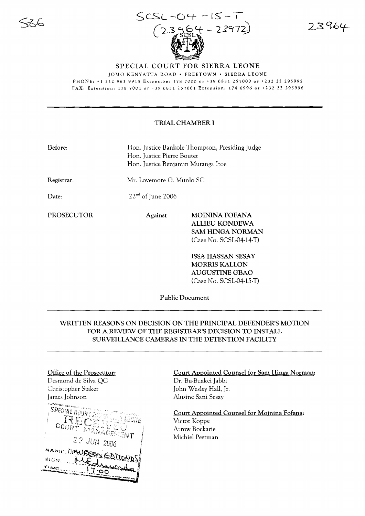

23964

JOMO KENYATTA ROAD· FREETOWN' SIERRA LEONE PHONE: +1 212 963 9915 Extension: 1787000 or +39 0831257000 or +23222295995

FAX: Extension: 1787001 or +39 0831257001 Extension: 1746996 or +23222295996

## TRIAL CHAMBER I

| Before: | Hon. Justice Bankole Thompson, Presiding Judge |
|---------|------------------------------------------------|
|         | Hon. Justice Pierre Boutet                     |
|         | Hon. Justice Benjamin Mutanga Itoe             |

 $22<sup>nd</sup>$  of June 2006

Registrar:

Mr. Lovemore G. Munlo SC

Date:

PROSECUTOR Against MOININA FOFANA ALLIEU KONDEWA SAM HINGA NORMAN

(Case No. SCSL-04-14-T)

ISSA HASSAN SESAY MORRIS KALLON AUGUSTINE GBAO (Case No. SCSL-04-15-T)

Public Document

## WRITTEN REASONS ON DECISION ON THE PRINCIPAL DEFENDER'S MOTION FOR A REVIEW OF THE REGISTRAR'S DECISION TO INSTALL SURVEILLANCE CAMERAS IN THE DETENTION FACILITY

#### Office of the Prosecutor:

Desmond de Silva QC Christopher Staker James Johnson

**CONTINUE** 

**SPECIAL GOUR** ិត្<sub>រិក</sub> MAN 22 JUN 2006 NAME MAURES C SIGN.. TIME

### Court Appointed Counsel for Sam Hinga Norman: Dr. Bu-Buakei Jabbi John Wesley Hall, Jr. Alusine Sani Sesay

Court Appointed Counsel for Moinina Fofana:

Victor Koppe Arrow Bockarie Michiel Pestman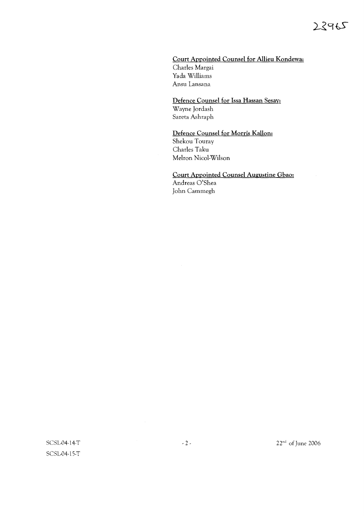## Court Appointed Counsel for Allieu Kondewa: Charles Margai Yada Williams Ansu Lansana

## Defence Counsel for Issa Hassan Sesay: Wayne Jordash Sareta Ashraph

## Defence Counsel for Morris Kallon: Shekou Touray Charles Taku Melton Nicol-Wilson

# Court Appointed Counsel Augustine Gbao: Andreas O'Shea

John Cammegh

SCSL04-14-T SCSL04-15-T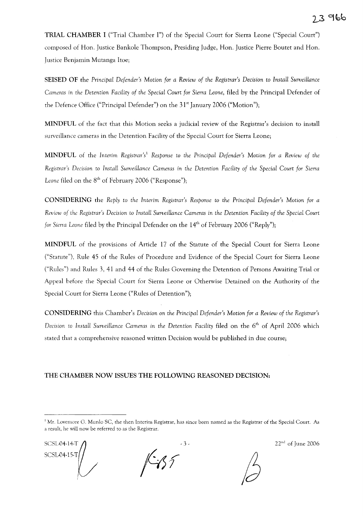**TRIAL CHAMBER I** ("Trial Chamber I") of the Special Court for Sierra Leone ("Special Court") composed of Hon. Justice Bankole Thompson, Presiding Judge, Han. Justice Pierre Boutet and Hon. Justice Benjamin Mutanga Itoe;

**SEISED OF** the *Principal Defender's* Motion *for a Review of the Registrar's Decision* to *Install Surveillance Cameras* in *the Detention Facility of the Special Court for Sierra Leone,* filed by the Principal Defender of the Defence Office ("Principal Defender") on the 31't January 2006 ("Motion");

**MINDFUL** of the fact that this Motion seeks a judicial review of the Registrar's decision to install surveillance cameras in the Detention Facility of the Special Court for Sierra Leone;

**MINDFUL** of the *Interim Registrar'sl Response* to *the Principal Defender's* Motion *for a Review of the Registrar's Decision* to *Install Surveillance Cameras* in *the Detention Facility of the Special Court for Sierra Leone* filed on the 8<sup>th</sup> of February 2006 ("Response");

**CONSIDERING** the *Reply* to *the Interim Registrar's Response* to *the Principal Defender's* Motion *for a Review of the Registrar's Decision* to *Install Surveillance Cameras* in *the Detention Facility of the Special Court for Sierra Leone* filed by the Principal Defender on the 14<sup>th</sup> of February 2006 ("Reply");

**MINDFUL** of the provisions of Article 17 of the Statute of the Special Court for Sierra Leone ("Statute"), Rule 45 of the Rules of Procedure and Evidence of the Special Court for Sierra Leone ("Rules") and Rules 3, **41** and 44 of the Rules Governing the Detention of Persons Awaiting Trial or Appeal before the Special Court for Sierra Leone or Otherwise Detained on the Authority of the Special Court for Sierra Leone ("Rules of Detention");

**CONSIDERING** this Chamber's Decision on *the Principal Defender's* Motion *for a Review of the Registrar's Decision* to *Install Surveillance Cameras* in *the Detention Facility* filed on the 6th of April 2006 which stated that a comprehensive reasoned written Decision would be published in due course;

## **THE CHAMBER NOW ISSUES THE FOLLOWING REASONED DECISION:**

SCSL04-14-T SCSL-04-15-T

**/-1;7**

 $-3$  - 22<sup>nd</sup> of June 2006

<sup>&</sup>lt;sup>1</sup> Mr. Lovemore G. Munlo SC, the then Interim Registrar, has since been named as the Registrar of the Special Court. As a result, he will now be referred to as the Registrar.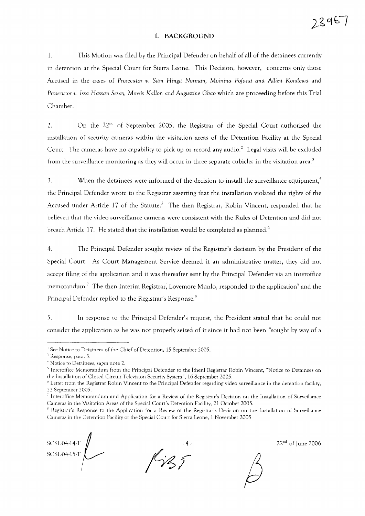#### I. BACKGROUND

1. This Motion was filed by the Principal Defender on behalf of all of the detainees currently in detention at the Special Court for Sierra Leone. This Decision, however, concerns only those Accused in the cases of *Prosecutor v. Sam Hinga Norman, Moinina Fofana and Atlieu Kondewa* and *Prosecutor* t!. *Issa Hassan Sesay, Morris KaHon and Augustine Gbao* which are proceeding before this Trial Chamber.

2. On the  $22<sup>nd</sup>$  of September 2005, the Registrar of the Special Court authorised the installation of security cameras within the visitation areas of the Detention Facility at the Special Court. The cameras have no capability to pick up or record any audio.<sup>2</sup> Legal visits will be excluded from the surveillance monitoring as they will occur in three separate cubicles in the visitation area.'

3. When the detainees were informed of the decision to install the surveillance equipment,<sup>4</sup> the Principal Defender wrote to the Registrar asserting that the installation violated the rights of the Accused under Article 17 of the Statute.<sup>5</sup> The then Registrar, Robin Vincent, responded that he believed that the video surveillance cameras were consistent with the Rules of Detention and did not breach Article 17. He stated that the installation would be completed as planned.<sup>6</sup>

4. The Principal Defender sought review of the Registrar's decision by the President of the Special Court. As Court Management Service deemed it an administrative matter, they did not accept filing of the application and it was thereafter sent by the Principal Defender via an interoffice memorandum.<sup>?</sup> The then Interim Registrar, Lovemore Munlo, responded to the application<sup>8</sup> and the Principal Defender replied to the Registrar's Response.<sup>9</sup>

5. In response to the Principal Defender's request, the President stated that he could not consider the application as he was not properly seized of it since it had not been "sought by way of a

SCSL04-I4-T SCSL-04-I5-T

 $22<sup>nd</sup>$  of June 2006

 $23967$ 



 $2$  See Notice to Detainees of the Chief of Detention, 15 September 2005.

<sup>&</sup>lt;sup>3</sup> Response, para. 3.

<sup>4</sup> Notice to Detainees, *supra* note 2.

<sup>&</sup>lt;sup>5</sup> Interoffice Memorandum from the Principal Defender to the [then] Registrar Robin Vincent, "Notice to Detainees on the Installation of Closed Circuit Television Security System", 16 September 2005.

<sup>&</sup>lt;sup>6</sup> Letter from the Registrar Robin Vincent to the Principal Defender regarding video surveillance in the detention facility, 22 September 2005.

<sup>7</sup> Interoffice Memorandum and Application for a Review of the Registrar's Decision on the Installation of Surveillance Cameras in the Visitation Areas of the Special Court's Detention Facility, 21 October 2005.

<sup>&</sup>lt;sup>8</sup> Registrar's Response to the Application for a Review of the Registrar's Decision on the Installation of Surveillance Cameras in the Detention Facility of the Special Court for Sierra Leone, 1 November 2005.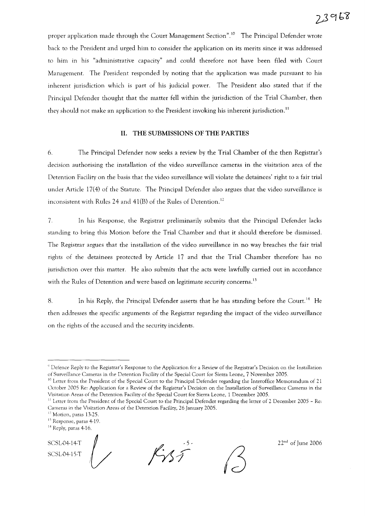# 23968

proper application made through the Court Management Section".<sup>10</sup> The Principal Defender wrote back to the President and urged him to consider the application on its merits since it was addressed to him in his "administrative capacity" and could therefore not have been filed with Court Management. The President responded by noting that the application was made pursuant to his inherent jurisdiction which is part of his judicial power. The President also stated that if the Principal Defender thought that the matter fell within the jurisdiction of the Trial Chamber, then they should not make an application to the President invoking his inherent jurisdiction.<sup>11</sup>

## **II. THE SUBMISSIONS OF THE PARTIES**

6. The Principal Defender now seeks a review by the Trial Chamber of the then Registrar's decision authorising the installation of the video surveillance cameras in the visitation area of the Detention Facility on the basis that the video surveillance will violate the detainees' right to a fair trial under Article 17(4) of the Statute. The Principal Defender also argues that the video surveillance is inconsistent with Rules 24 and 41(B) of the Rules of Detention.<sup>12</sup>

7. In his Response, the Registrar preliminarily submits that the Principal Defender lacks standing to bring this Motion before the Trial Chamber and that it should therefore be dismissed. The Registrar argues that the installation of the video surveillance in no way breaches the fair trial rights of the detainees protected by Article 17 and that the Trial Chamber therefore has no jurisdiction over this matter. He also submits that the acts were lawfully carried out in accordance with the Rules of Detention and were based on legitimate security concerns.<sup>13</sup>

8. In his Reply, the Principal Defender asserts that he has standing before the Court.<sup>14</sup> He then addresses the specific arguments of the Registrar regarding the impact of the video surveillance on the rights of the accused and the security incidents.

SCSL-04-14-T SCSL04-15-T

 $f\gamma_{55}$ 



 $22<sup>nd</sup>$  of June 2006

<sup>&</sup>lt;sup>9</sup> Defence Reply to the Registrar's Response to the Application for a Review of the Registrar's Decision on the Installation of Surveillance Cameras in the Detention Facility of the Special Court for Sierra Leone, 7 November 2005.

 $10$  Letter from the President of the Special Court to the Principal Defender regarding the Interoffice Memorandum of 21 October 2005 Re: Application for a Review of the Registrar's Decision on the Installation of Surveillance Cameras in the Visitation Areas of the Detention Facility of the Special Court for Sierra Leone, 1 December 2005.

 $\frac{11}{11}$  Letter from the President of the Special Court to the Principal Defender regarding the letter of 2 December 2005 - Re: Cameras in the Visitation Areas of the Detention Facility, 26 January 2005.

<sup>&</sup>lt;sup>12</sup> Motion, paras 13-25.

<sup>11</sup> Response, paras 4-19.

<sup>&</sup>lt;sup>14</sup> Reply, paras 4-16.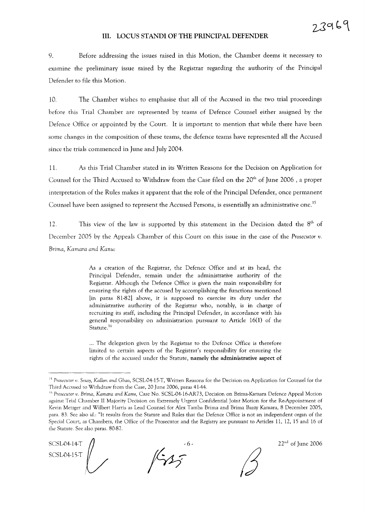#### **III.** LOCUS STANDI OF **THE PRINCIPAL DEFENDER**

9. Before addressing the issues raised in this Motion, the Chamber deems it necessary to examine the preliminary issue raised by the Registrar regarding the authority of the Principal Defender to file this Motion.

10. The Chamber wishes to emphasise that all of the Accused in the two trial proceedings before this Trial Chamber are represented by teams of Defence Counsel either assigned by the Defence Office or appointed by the Court. It is important to mention that while there have been some changes in the composition of these teams, the defence teams have represented all the Accused since the trials commenced in June and July 2004.

11. As this Trial Chamber stated in its Written Reasons for the Decision on Application for Counsel for the Third Accused to Withdraw from the Case filed on the 20<sup>th</sup> of June 2006, a proper interpretation of the Rules makes it apparent that the role of the Principal Defender, once permanent Counsel have been assigned to represent the Accused Persons, is essentially an administrative one.<sup>15</sup>

12. This view of the law is supported by this statement in the Decision dated the  $8<sup>th</sup>$  of December 2005 by the Appeals Chamber of this Court on this issue in the case of the *Prosecutor v. Brima, Kamara and Kanu:*

> As a creation of the Registrar, the Defence Office and at its head, the Principal Defender, remain under the administrative authority of the Registrar. Although the Defence Office is given the main responsibility for ensuring the rights of the accused by accomplishing the functions mentioned (in paras 81-82) above, it is supposed to exercise its duty under the administrative authority of the Registrar who, notably, is in charge of recruiting its staff, including the Principal Defender, in accordance with his general responsibility on administration pursuant to Article 16(1) of the Statute.<sup>16</sup>

> ... The delegation given by the Registrar to the Defence Office is therefore limited to certain aspects of the Registrar's responsibility for ensuring the rights of the accused under the Statute, namely the administrative aspect of

SCSL04-14-T SCSL04-15-T $\int$ ,

- 6 *jW*

 $22<sup>nd</sup>$  of June 2006

<sup>&</sup>lt;sup>15</sup> Prosecutor *v.* Sesay, Kallon and Gbao, SCSL-04-15-T, Written Reasons for the Decision on Application for Counsel for the Third Accused to Withdraw from the Case, 20 June 2006, paras 41-44.

<sup>&</sup>lt;sup>16</sup> Prosecutor v. Brima, *Kamara and Kanu*, Case No. SCSL-04-16-AR73, Decision on Brima-Kamara Defence Appeal Motion against Trial Chamber II Majority Decision on Extremely Urgent Confidential Joint Motion for the Re-Appointment of Kevin Metzger and Wilbert Harris as Lead Counsel for Alex Tamba Brima and Brima Bazzy Kamara, 8 December 2005, para. 83. See also *id.:* ''It results from the Statute and Rules that the Defence Office is not an independent organ of the Special Court, as Chambers, the Office of the Prosecutor and the Registry are pursuant to Articles 11, 12, 15 and 16 of the Statute. See also paras. 80-82.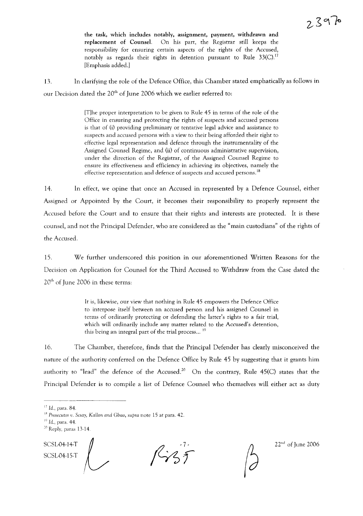the task, which includes notably, assignment, payment, withdrawn and replacement of Counsel. On his part, the Registrar still keeps the responsibility for ensuring certain aspects of the rights of the Accused, notably as regards their rights in detention pursuant to Rule  $33(C)$ .<sup>17</sup> [Emphasis added.]

13. In clarifying the role of the Defence Office, this Chamber stated emphatically as follows in our Decision dated the 20<sup>th</sup> of June 2006 which we earlier referred to:

> [T]he proper interpretation to be given to Rule 45 in terms of the role of the Office in ensuring and protecting the rights of suspects and accused persons is that of (i) providing preliminary or tentative legal advice and assistance to suspects and accused persons with a view to their being afforded their right to effective legal representation and defence through the instrumentality of the Assigned Counsel Regime, and (ii) of continuous administrative supervision, under the direction of the Registrar, of the Assigned Counsel Regime to ensure its effectiveness and efficiency in achieving its objectives, namely the effective representation and defence of suspects and accused persons.<sup>18</sup>

14. In effect, we opine that once an Accused in represented by a Defence Counsel, either Assigned or Appointed by the Court, it becomes their responsibility to properly represent the Accused before the Court and to ensure that their rights and interests are protected. It is these counsel, and not the Principal Defender, who are considered as the "main custodians" of the rights of the Accused.

IS. We further underscored this position in our aforementioned Written Reasons for the Decision on Application for Counsel for the Third Accused to Withdraw from the Case dated the  $20<sup>th</sup>$  of June 2006 in these terms:

> It is, likewise, our view that nothing in Rule 45 empowers the Defence Office to interpose itself between an accused person and his assigned Counsel in terms of ordinarily protecting or defending the latter's rights to a fair trial, which will ordinarily include any matter related to the Accused's detention, this being an integral part of the trial process...<sup>19</sup>

16. The Chamber, therefore, finds that the Principal Defender has clearly misconceived the nature of the authority conferred on the Defence Office by Rule 45 by suggesting that it grants him authority to "lead" the defence of the Accused.<sup>20</sup> On the contrary, Rule  $45(C)$  states that the Principal Defender is to compile a list of Defence Counsel who themselves will either act as duty

SCSL04-14-T<br>SCSL04-15-T

SCSL04-14-1<br>SCSL04-15-T  $\left\langle \right\rangle$ <sup>27</sup> <sup>22nd</sup> of June 2006

 $17$  *Id.*, para. 84.

IH *Prosecutor v. Sesay, KaHon and Gbao, supra* note 15 at para. 42.

 $19$  *Id.*, para. 44.

<sup>&</sup>lt;sup>20</sup> Reply, paras 13-14.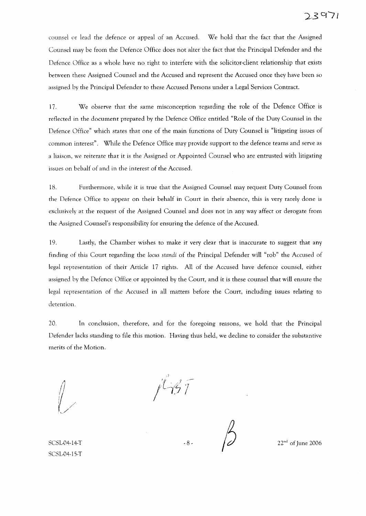counsel or lead the defence or appeal of an Accused. We hold that the fact that the Assigned Counsel may be from the Defence Office does not alter the fact that the Principal Defender and the Defence Office as a whole have no right to interfere with the solicitor-client relationship that exists between these Assigned Counsel and the Accused and represent the Accused once they have been so assigned by the Principal Defender to these Accused Persons under a Legal Services Contract.

17. We observe that the same misconception regarding the role of the Defence Office is reflected in the document prepared by the Defence Office entitled "Role of the Duty Counsel in the Defence Office" which states that one of the main functions of Duty Counsel is "litigating issues of common interest". While the Defence Office may provide support to the defence teams and serve as a liaison, we reiterate that it is the Assigned or Appointed Counsel who are entrusted with litigating issues on behalf of and in the interest of the Accused.

18. Furthermore, while it is true that the Assigned Counsel may request Duty Counsel from the Defence Office to appear on their behalf in Court in their absence, this is very rarely done is exclusively at the request of the Assigned Counsel and does not in any way affect or derogate from the Assigned Counsel's responsibility for ensuring the defence of the Accused.

19. Lastly, the Chamber wishes to make it very clear that is inaccurate to suggest that any finding of this Court regarding the *Locus standi* of the Principal Defender will "rob" the Accused of legal representation of their Article 17 rights. All of the Accused have defence counsel, either assigned by the Defence Office or appointed by the Court, and it is these counsel that will ensure the legal representation of the Accused in all matters before the Court, including issues relating to detention.

20. In conclusion, therefore, and for the foregoing reasons, we hold that the Principal Defender lacks standing to file this motion. Having thus held, we decline to consider the substantive merits of the Motion.

,1

 $-8$  -  $\frac{1}{2}$  22<sup>nd</sup> of June 2006

SCSL04-14-T SCSL04-15-T